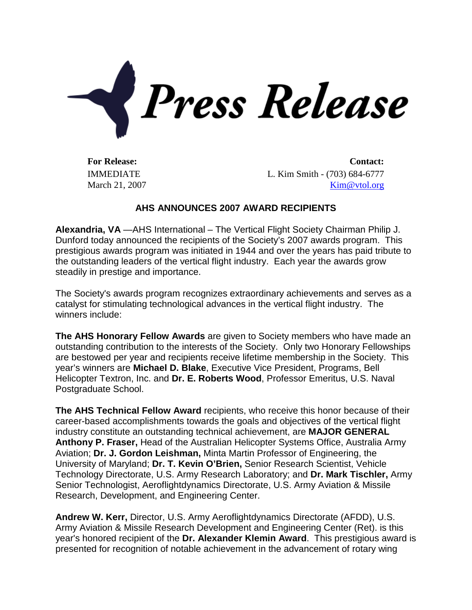

IMMEDIATE March 21, 2007

**For Release: Contact:** L. Kim Smith - (703) 684-6777 [Kim@vtol.org](mailto:Kim@vtol.org)

## **AHS ANNOUNCES 2007 AWARD RECIPIENTS**

**Alexandria, VA** —AHS International – The Vertical Flight Society Chairman Philip J. Dunford today announced the recipients of the Society's 2007 awards program. This prestigious awards program was initiated in 1944 and over the years has paid tribute to the outstanding leaders of the vertical flight industry. Each year the awards grow steadily in prestige and importance.

The Society's awards program recognizes extraordinary achievements and serves as a catalyst for stimulating technological advances in the vertical flight industry. The winners include:

**The AHS Honorary Fellow Awards** are given to Society members who have made an outstanding contribution to the interests of the Society. Only two Honorary Fellowships are bestowed per year and recipients receive lifetime membership in the Society. This year's winners are **Michael D. Blake**, Executive Vice President, Programs, Bell Helicopter Textron, Inc. and **Dr. E. Roberts Wood**, Professor Emeritus, U.S. Naval Postgraduate School.

**The AHS Technical Fellow Award** recipients, who receive this honor because of their career-based accomplishments towards the goals and objectives of the vertical flight industry constitute an outstanding technical achievement, are **MAJOR GENERAL Anthony P. Fraser,** Head of the Australian Helicopter Systems Office, Australia Army Aviation; **Dr. J. Gordon Leishman,** Minta Martin Professor of Engineering, the University of Maryland; **Dr. T. Kevin O'Brien,** Senior Research Scientist, Vehicle Technology Directorate, U.S. Army Research Laboratory; and **Dr. Mark Tischler,** Army Senior Technologist, Aeroflightdynamics Directorate, U.S. Army Aviation & Missile Research, Development, and Engineering Center.

**Andrew W. Kerr,** Director, U.S. Army Aeroflightdynamics Directorate (AFDD), U.S. Army Aviation & Missile Research Development and Engineering Center (Ret). is this year's honored recipient of the **Dr. Alexander Klemin Award**. This prestigious award is presented for recognition of notable achievement in the advancement of rotary wing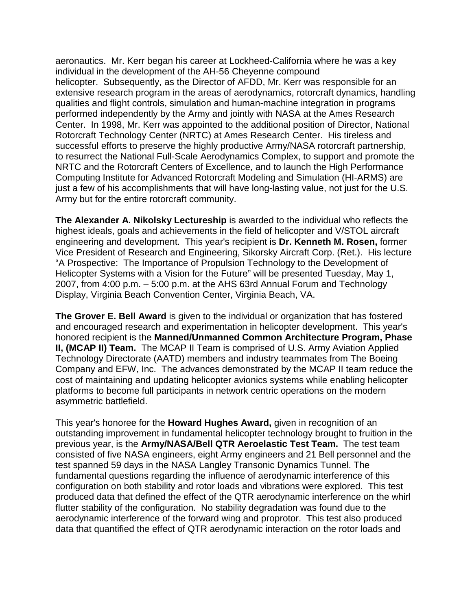aeronautics. Mr. Kerr began his career at Lockheed-California where he was a key individual in the development of the AH-56 Cheyenne compound helicopter. Subsequently, as the Director of AFDD, Mr. Kerr was responsible for an extensive research program in the areas of aerodynamics, rotorcraft dynamics, handling qualities and flight controls, simulation and human-machine integration in programs performed independently by the Army and jointly with NASA at the Ames Research Center. In 1998, Mr. Kerr was appointed to the additional position of Director, National Rotorcraft Technology Center (NRTC) at Ames Research Center. His tireless and successful efforts to preserve the highly productive Army/NASA rotorcraft partnership, to resurrect the National Full-Scale Aerodynamics Complex, to support and promote the NRTC and the Rotorcraft Centers of Excellence, and to launch the High Performance Computing Institute for Advanced Rotorcraft Modeling and Simulation (HI-ARMS) are just a few of his accomplishments that will have long-lasting value, not just for the U.S. Army but for the entire rotorcraft community.

**The Alexander A. Nikolsky Lectureship** is awarded to the individual who reflects the highest ideals, goals and achievements in the field of helicopter and V/STOL aircraft engineering and development. This year's recipient is **Dr. Kenneth M. Rosen,** former Vice President of Research and Engineering, Sikorsky Aircraft Corp. (Ret.). His lecture "A Prospective: The Importance of Propulsion Technology to the Development of Helicopter Systems with a Vision for the Future" will be presented Tuesday, May 1, 2007, from 4:00 p.m. – 5:00 p.m. at the AHS 63rd Annual Forum and Technology Display, Virginia Beach Convention Center, Virginia Beach, VA.

**The Grover E. Bell Award** is given to the individual or organization that has fostered and encouraged research and experimentation in helicopter development. This year's honored recipient is the **Manned/Unmanned Common Architecture Program, Phase II, (MCAP II) Team.** The MCAP II Team is comprised of U.S. Army Aviation Applied Technology Directorate (AATD) members and industry teammates from The Boeing Company and EFW, Inc. The advances demonstrated by the MCAP II team reduce the cost of maintaining and updating helicopter avionics systems while enabling helicopter platforms to become full participants in network centric operations on the modern asymmetric battlefield.

This year's honoree for the **Howard Hughes Award,** given in recognition of an outstanding improvement in fundamental helicopter technology brought to fruition in the previous year, is the **Army/NASA/Bell QTR Aeroelastic Test Team.** The test team consisted of five NASA engineers, eight Army engineers and 21 Bell personnel and the test spanned 59 days in the NASA Langley Transonic Dynamics Tunnel. The fundamental questions regarding the influence of aerodynamic interference of this configuration on both stability and rotor loads and vibrations were explored. This test produced data that defined the effect of the QTR aerodynamic interference on the whirl flutter stability of the configuration. No stability degradation was found due to the aerodynamic interference of the forward wing and proprotor. This test also produced data that quantified the effect of QTR aerodynamic interaction on the rotor loads and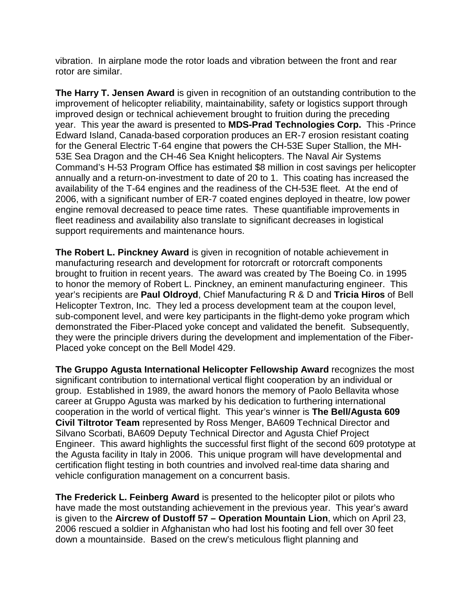vibration. In airplane mode the rotor loads and vibration between the front and rear rotor are similar.

**The Harry T. Jensen Award** is given in recognition of an outstanding contribution to the improvement of helicopter reliability, maintainability, safety or logistics support through improved design or technical achievement brought to fruition during the preceding year. This year the award is presented to **MDS-Prad Technologies Corp.** This -Prince Edward Island, Canada-based corporation produces an ER-7 erosion resistant coating for the General Electric T-64 engine that powers the CH-53E Super Stallion, the MH-53E Sea Dragon and the CH-46 Sea Knight helicopters. The Naval Air Systems Command's H-53 Program Office has estimated \$8 million in cost savings per helicopter annually and a return-on-investment to date of 20 to 1. This coating has increased the availability of the T-64 engines and the readiness of the CH-53E fleet. At the end of 2006, with a significant number of ER-7 coated engines deployed in theatre, low power engine removal decreased to peace time rates. These quantifiable improvements in fleet readiness and availability also translate to significant decreases in logistical support requirements and maintenance hours.

**The Robert L. Pinckney Award** is given in recognition of notable achievement in manufacturing research and development for rotorcraft or rotorcraft components brought to fruition in recent years. The award was created by The Boeing Co. in 1995 to honor the memory of Robert L. Pinckney, an eminent manufacturing engineer. This year's recipients are **Paul Oldroyd**, Chief Manufacturing R & D and **Tricia Hiros** of Bell Helicopter Textron, Inc. They led a process development team at the coupon level, sub-component level, and were key participants in the flight-demo yoke program which demonstrated the Fiber-Placed yoke concept and validated the benefit. Subsequently, they were the principle drivers during the development and implementation of the Fiber-Placed yoke concept on the Bell Model 429.

**The Gruppo Agusta International Helicopter Fellowship Award** recognizes the most significant contribution to international vertical flight cooperation by an individual or group. Established in 1989, the award honors the memory of Paolo Bellavita whose career at Gruppo Agusta was marked by his dedication to furthering international cooperation in the world of vertical flight. This year's winner is **The Bell/Agusta 609 Civil Tiltrotor Team** represented by Ross Menger, BA609 Technical Director and Silvano Scorbati, BA609 Deputy Technical Director and Agusta Chief Project Engineer. This award highlights the successful first flight of the second 609 prototype at the Agusta facility in Italy in 2006. This unique program will have developmental and certification flight testing in both countries and involved real-time data sharing and vehicle configuration management on a concurrent basis.

**The Frederick L. Feinberg Award** is presented to the helicopter pilot or pilots who have made the most outstanding achievement in the previous year. This year's award is given to the **Aircrew of Dustoff 57 – Operation Mountain Lion**, which on April 23, 2006 rescued a soldier in Afghanistan who had lost his footing and fell over 30 feet down a mountainside. Based on the crew's meticulous flight planning and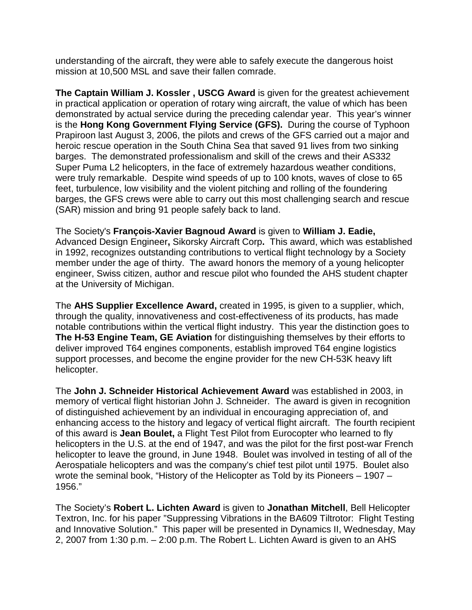understanding of the aircraft, they were able to safely execute the dangerous hoist mission at 10,500 MSL and save their fallen comrade.

**The Captain William J. Kossler , USCG Award** is given for the greatest achievement in practical application or operation of rotary wing aircraft, the value of which has been demonstrated by actual service during the preceding calendar year. This year's winner is the **Hong Kong Government Flying Service (GFS).** During the course of Typhoon Prapiroon last August 3, 2006, the pilots and crews of the GFS carried out a major and heroic rescue operation in the South China Sea that saved 91 lives from two sinking barges. The demonstrated professionalism and skill of the crews and their AS332 Super Puma L2 helicopters, in the face of extremely hazardous weather conditions, were truly remarkable. Despite wind speeds of up to 100 knots, waves of close to 65 feet, turbulence, low visibility and the violent pitching and rolling of the foundering barges, the GFS crews were able to carry out this most challenging search and rescue (SAR) mission and bring 91 people safely back to land.

The Society's **François-Xavier Bagnoud Award** is given to **William J. Eadie,**  Advanced Design Engineer**,** Sikorsky Aircraft Corp**.** This award, which was established in 1992, recognizes outstanding contributions to vertical flight technology by a Society member under the age of thirty. The award honors the memory of a young helicopter engineer, Swiss citizen, author and rescue pilot who founded the AHS student chapter at the University of Michigan.

The **AHS Supplier Excellence Award,** created in 1995, is given to a supplier, which, through the quality, innovativeness and cost-effectiveness of its products, has made notable contributions within the vertical flight industry. This year the distinction goes to **The H-53 Engine Team, GE Aviation** for distinguishing themselves by their efforts to deliver improved T64 engines components, establish improved T64 engine logistics support processes, and become the engine provider for the new CH-53K heavy lift helicopter.

The **John J. Schneider Historical Achievement Award** was established in 2003, in memory of vertical flight historian John J. Schneider. The award is given in recognition of distinguished achievement by an individual in encouraging appreciation of, and enhancing access to the history and legacy of vertical flight aircraft. The fourth recipient of this award is **Jean Boulet,** a Flight Test Pilot from Eurocopter who learned to fly helicopters in the U.S. at the end of 1947, and was the pilot for the first post-war French helicopter to leave the ground, in June 1948. Boulet was involved in testing of all of the Aerospatiale helicopters and was the company's chief test pilot until 1975. Boulet also wrote the seminal book, "History of the Helicopter as Told by its Pioneers – 1907 – 1956."

The Society's **Robert L. Lichten Award** is given to **Jonathan Mitchell**, Bell Helicopter Textron, Inc. for his paper "Suppressing Vibrations in the BA609 Tiltrotor: Flight Testing and Innovative Solution." This paper will be presented in Dynamics II, Wednesday, May 2, 2007 from 1:30 p.m. – 2:00 p.m. The Robert L. Lichten Award is given to an AHS